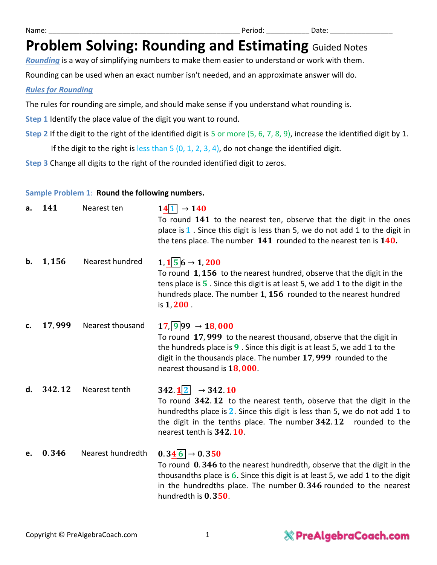*Rounding* is a way of simplifying numbers to make them easier to understand or work with them.

Rounding can be used when an exact number isn't needed, and an approximate answer will do.

#### *Rules for Rounding*

The rules for rounding are simple, and should make sense if you understand what rounding is.

**Step 1** Identify the place value of the digit you want to round.

**Step 2** If the digit to the right of the identified digit is 5 or more (5, 6, 7, 8, 9), increase the identified digit by 1.

If the digit to the right is less than  $5$  (0, 1, 2, 3, 4), do not change the identified digit.

**Step 3** Change all digits to the right of the rounded identified digit to zeros.

#### **Sample Problem 1**: **Round the following numbers.**

| a. | 141    | Nearest ten       | $14 1  \rightarrow 140$<br>To round 141 to the nearest ten, observe that the digit in the ones<br>place is $1$ . Since this digit is less than 5, we do not add 1 to the digit in<br>the tens place. The number $141$ rounded to the nearest ten is $140$ .                                 |
|----|--------|-------------------|---------------------------------------------------------------------------------------------------------------------------------------------------------------------------------------------------------------------------------------------------------------------------------------------|
| b. | 1,156  | Nearest hundred   | $1, 1 \overline{5}$ 6 $\rightarrow 1, 200$<br>To round 1, 156 to the nearest hundred, observe that the digit in the<br>tens place is $5$ . Since this digit is at least 5, we add 1 to the digit in the<br>hundreds place. The number 1, 156 rounded to the nearest hundred<br>is $1,200$ . |
| c. | 17,999 | Nearest thousand  | $17,  9 99 \rightarrow 18,000$<br>To round 17,999 to the nearest thousand, observe that the digit in<br>the hundreds place is $9$ . Since this digit is at least 5, we add 1 to the<br>digit in the thousands place. The number 17, 999 rounded to the<br>nearest thousand is 18,000.       |
| d. | 342.12 | Nearest tenth     | 342.12 $\rightarrow$ 342.10<br>To round 342.12 to the nearest tenth, observe that the digit in the<br>hundredths place is $2$ . Since this digit is less than 5, we do not add 1 to<br>the digit in the tenths place. The number $342.12$ rounded to the<br>nearest tenth is 342.10.        |
| e. | 0.346  | Nearest hundredth | $0.346 \rightarrow 0.350$<br>To round 0.346 to the nearest hundredth, observe that the digit in the<br>thousandths place is $6$ . Since this digit is at least 5, we add 1 to the digit<br>in the hundredths place. The number $0.346$ rounded to the nearest<br>hundredth is 0.350.        |

### **& PreAlgebraCoach.com**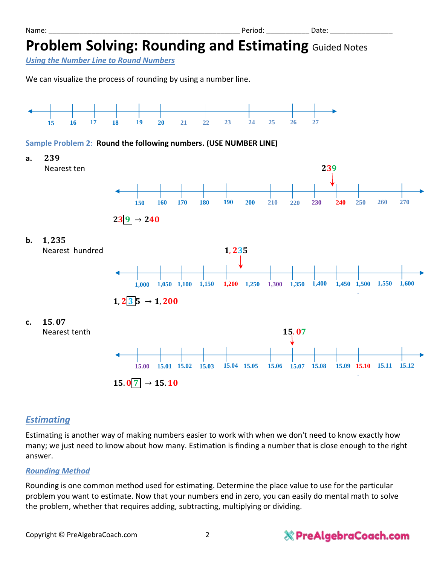*Using the Number Line to Round Numbers*

We can visualize the process of rounding by using a number line.



#### **Sample Problem 2**: **Round the following numbers. (USE NUMBER LINE)**



### *Estimating*

Estimating is another way of making numbers easier to work with when we don't need to know exactly how many; we just need to know about how many. Estimation is finding a number that is close enough to the right answer.

#### *Rounding Method*

Rounding is one common method used for estimating. Determine the place value to use for the particular problem you want to estimate. Now that your numbers end in zero, you can easily do mental math to solve the problem, whether that requires adding, subtracting, multiplying or dividing.

### & PreAlgebraCoach.com

Name: \_\_\_\_\_\_\_\_\_\_\_\_\_\_\_\_\_\_\_\_\_\_\_\_\_\_\_\_\_\_\_\_\_\_\_\_\_\_\_\_\_\_\_\_\_\_\_\_\_ Period: \_\_\_\_\_\_\_\_\_\_\_ Date: \_\_\_\_\_\_\_\_\_\_\_\_\_\_\_\_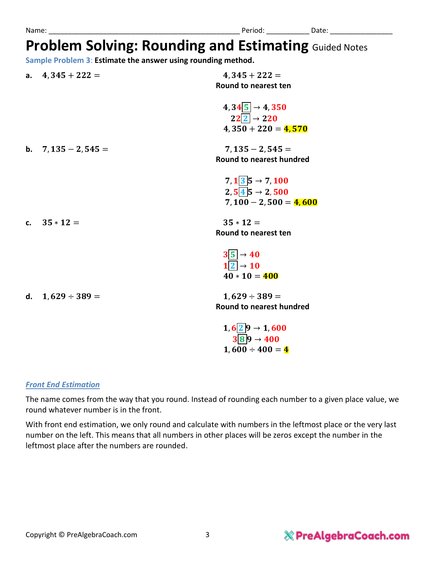**Sample Problem 3**: **Estimate the answer using rounding method.**

| a. $4,345+222=$       | $4,345+222=$<br>Round to nearest ten                                                                   |
|-----------------------|--------------------------------------------------------------------------------------------------------|
|                       | $4,345 \rightarrow 4,350$<br>$22\overline{2} \rightarrow 220$<br>$4,350 + 220 = 4,570$                 |
| b. $7,135 - 2,545 =$  | $7,135 - 2,545 =$<br>Round to nearest hundred                                                          |
|                       | $7, 1$ 3 5 $\rightarrow 7, 100$<br>$2, 5 \overline{4} 5 \rightarrow 2, 500$<br>$7,100 - 2,500 = 4,600$ |
| c. $35 * 12 =$        | $35 * 12 =$<br>Round to nearest ten                                                                    |
|                       | $3\overline{5}$ $\rightarrow$ 40<br>$1\overline{2}$ $\rightarrow$ 10<br>$40 * 10 = 400$                |
| d. $1,629 \div 389 =$ | $1,629 \div 389 =$<br><b>Round to nearest hundred</b>                                                  |
|                       | $1, 6$ 2 9 $\rightarrow$ 1, 600<br>$3 8 9 \rightarrow 400$                                             |

### *Front End Estimation*

The name comes from the way that you round. Instead of rounding each number to a given place value, we round whatever number is in the front.

 $1,600 \div 400 = 4$ 

With front end estimation, we only round and calculate with numbers in the leftmost place or the very last number on the left. This means that all numbers in other places will be zeros except the number in the leftmost place after the numbers are rounded.